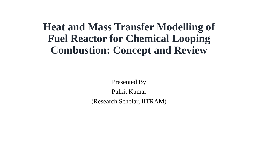#### **Heat and Mass Transfer Modelling of Fuel Reactor for Chemical Looping Combustion: Concept and Review**

Presented By

Pulkit Kumar

(Research Scholar, IITRAM)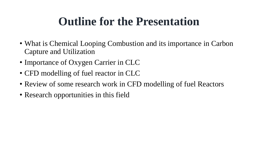#### **Outline for the Presentation**

- What is Chemical Looping Combustion and its importance in Carbon Capture and Utilization
- Importance of Oxygen Carrier in CLC
- CFD modelling of fuel reactor in CLC
- Review of some research work in CFD modelling of fuel Reactors
- Research opportunities in this field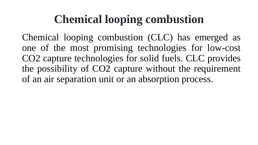## **Chemical looping combustion**

Chemical looping combustion (CLC) has emerged as one of the most promising technologies for low-cost CO2 capture technologies for solid fuels. CLC provides the possibility of CO2 capture without the requirement of an air separation unit or an absorption process.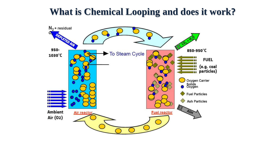#### **What is Chemical Looping and does it work?**

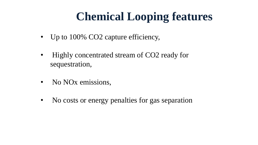## **Chemical Looping features**

- Up to 100% CO2 capture efficiency,
- Highly concentrated stream of CO2 ready for sequestration,
- No NO<sub>x</sub> emissions,
- No costs or energy penalties for gas separation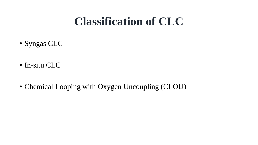#### **Classification of CLC**

- Syngas CLC
- In-situ CLC
- Chemical Looping with Oxygen Uncoupling (CLOU)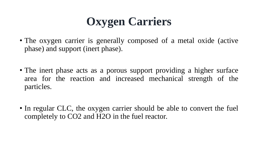# **Oxygen Carriers**

- The oxygen carrier is generally composed of a metal oxide (active phase) and support (inert phase).
- The inert phase acts as a porous support providing a higher surface area for the reaction and increased mechanical strength of the particles.
- In regular CLC, the oxygen carrier should be able to convert the fuel completely to CO2 and H2O in the fuel reactor.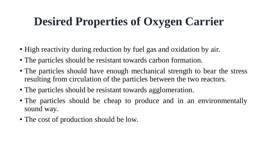# **Desired Properties of Oxygen Carrier**

- High reactivity during reduction by fuel gas and oxidation by air.
- The particles should be resistant towards carbon formation.
- The particles should have enough mechanical strength to bear the stress resulting from circulation of the particles between the two reactors.
- The particles should be resistant towards agglomeration.
- The particles should be cheap to produce and in an environmentally sound way.
- The cost of production should be low.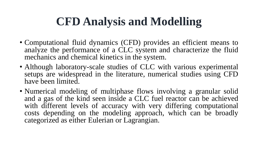## **CFD Analysis and Modelling**

- Computational fluid dynamics (CFD) provides an efficient means to analyze the performance of a CLC system and characterize the fluid mechanics and chemical kinetics in the system.
- Although laboratory-scale studies of CLC with various experimental setups are widespread in the literature, numerical studies using CFD have been limited.
- Numerical modeling of multiphase flows involving a granular solid and a gas of the kind seen inside a CLC fuel reactor can be achieved with different levels of accuracy with very differing computational costs depending on the modeling approach, which can be broadly categorized as either Eulerian or Lagrangian.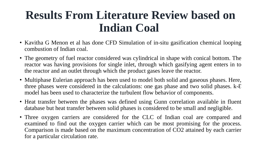### **Results From Literature Review based on Indian Coal**

- Kavitha G Menon et al has done CFD Simulation of in-situ gasification chemical looping combustion of Indian coal.
- The geometry of fuel reactor considered was cylindrical in shape with conical bottom. The reactor was having provisions for single inlet, through which gasifying agent enters in to the reactor and an outlet through which the product gases leave the reactor.
- Multiphase Eulerian approach has been used to model both solid and gaseous phases. Here, three phases were considered in the calculations: one gas phase and two solid phases.  $k$ - $\epsilon$ model has been used to characterize the turbulent flow behavior of components.
- Heat transfer between the phases was defined using Gunn correlation available in fluent database but heat transfer between solid phases is considered to be small and negligible.
- Three oxygen carriers are considered for the CLC of Indian coal are compared and examined to find out the oxygen carrier which can be most promising for the process. Comparison is made based on the maximum concentration of CO2 attained by each carrier for a particular circulation rate.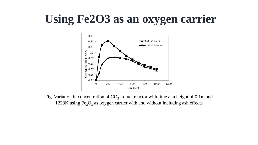## **Using Fe2O3 as an oxygen carrier**



Fig. Variation in concentration of  $CO_2$  in fuel reactor with time at a height of 0.1m and 1223K using  $Fe<sub>2</sub>O<sub>3</sub>$  as oxygen carrier with and without including ash effects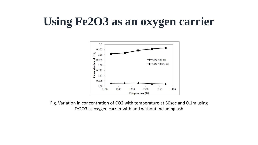### **Using Fe2O3 as an oxygen carrier**



Fig. Variation in concentration of CO2 with temperature at 50sec and 0.1m using Fe2O3 as oxygen carrier with and without including ash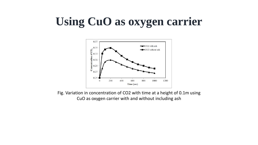## **Using CuO as oxygen carrier**



Fig. Variation in concentration of CO2 with time at a height of 0.1m using CuO as oxygen carrier with and without including ash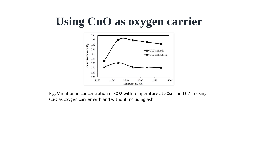# **Using CuO as oxygen carrier**



Fig. Variation in concentration of CO2 with temperature at 50sec and 0.1m using CuO as oxygen carrier with and without including ash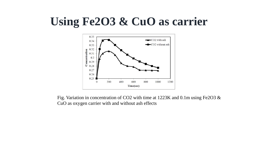#### **Using Fe2O3 & CuO as carrier**



Fig. Variation in concentration of CO2 with time at 1223K and 0.1m using Fe2O3 & CuO as oxygen carrier with and without ash effects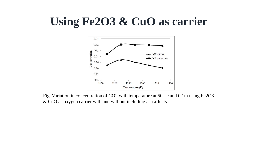#### **Using Fe2O3 & CuO as carrier**



Fig. Variation in concentration of CO2 with temperature at 50sec and 0.1m using Fe2O3 & CuO as oxygen carrier with and without including ash affects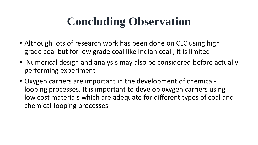# **Concluding Observation**

- Although lots of research work has been done on CLC using high grade coal but for low grade coal like Indian coal , it is limited.
- Numerical design and analysis may also be considered before actually performing experiment
- Oxygen carriers are important in the development of chemicallooping processes. It is important to develop oxygen carriers using low cost materials which are adequate for different types of coal and chemical-looping processes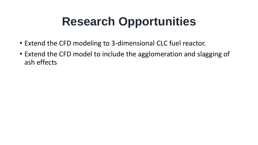# **Research Opportunities**

- Extend the CFD modeling to 3-dimensional CLC fuel reactor.
- Extend the CFD model to include the agglomeration and slagging of ash effects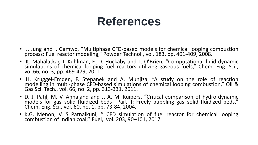#### **References**

- J. Jung and I. Gamwo, "Multiphase CFD-based models for chemical looping combustion process: Fuel reactor modeling," Powder Technol., vol. 183, pp. 401-409, 2008.
- K. Mahalatkar, J. Kuhlman, E. D. Huckaby and T. O'Brien, "Computational fluid dynamic simulations of chemical looping fuel reactors utilizing gaseous fuels," Chem. Eng. Sci., vol.66, no. 3, pp. 469-479, 2011.
- H. Kruggel-Emden, F. Stepanek and A. Munjiza, "A study on the role of reaction modelling in multi-phase CFD-based simulations of chemical looping combustion," Oil & Gas Sci. Tech., vol. 66, no. 2, pp. 313-331, 2011.
- D. J. Patil, M. V. Annaland and J. A. M. Kuipers, "Critical comparison of hydro-dynamic models for gas-solid fluidized beds—Part II: Freely bubbling gas-solid fluidized beds," Chem. Eng. Sci., vol. 60, no. 1, pp. 73-84, 2004.
- K.G. Menon, V. S. Patnaikuni, " CFD simulation of fuel reactor for chemical looping combustion of Indian coal,'' Fuel, vol. 203, 90–101, 2017